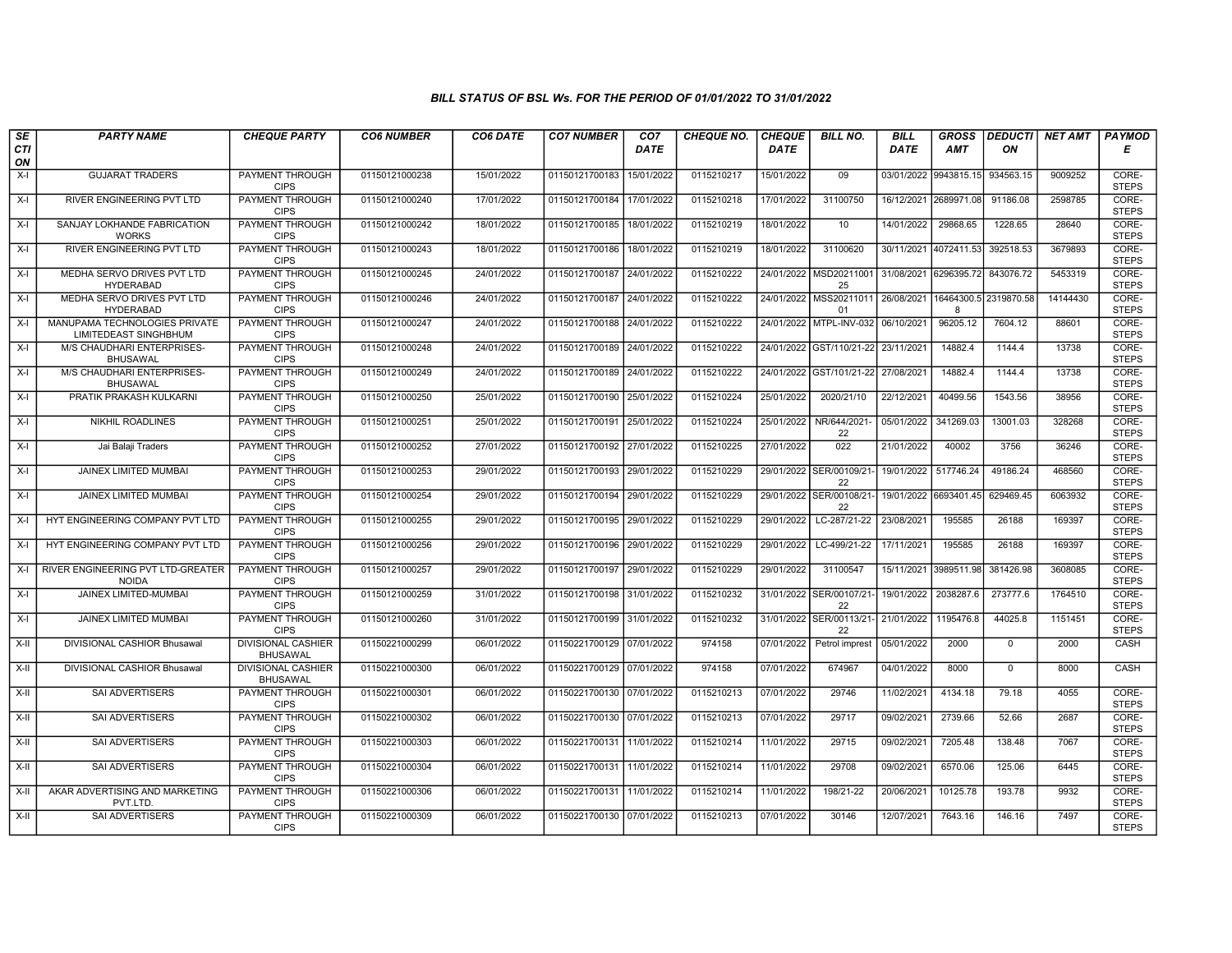| SE        | <b>PARTY NAME</b>                                      | <b>CHEQUE PARTY</b>                          | <b>CO6 NUMBER</b> | CO6 DATE   | <b>CO7 NUMBER</b>         | CO <sub>7</sub> | <b>CHEQUE NO.</b> | <b>CHEQUE</b> | <b>BILL NO.</b>                | <b>BILL</b>           | <b>GROSS</b>                                     |                | DEDUCTI  NET AMT | <b>PAYMOD</b>         |
|-----------|--------------------------------------------------------|----------------------------------------------|-------------------|------------|---------------------------|-----------------|-------------------|---------------|--------------------------------|-----------------------|--------------------------------------------------|----------------|------------------|-----------------------|
| CTI<br>ON |                                                        |                                              |                   |            |                           | <b>DATE</b>     |                   | <b>DATE</b>   |                                | <b>DATE</b>           | <b>AMT</b>                                       | ON             |                  | Е                     |
| $X-I$     | <b>GUJARAT TRADERS</b>                                 | <b>PAYMENT THROUGH</b><br><b>CIPS</b>        | 01150121000238    | 15/01/2022 | 01150121700183            | 15/01/2022      | 0115210217        | 15/01/2022    | 09                             |                       | 03/01/2022 9943815.15                            | 934563.15      | 9009252          | CORE-<br><b>STEPS</b> |
| $X-I$     | <b>RIVER ENGINEERING PVT LTD</b>                       | PAYMENT THROUGH<br><b>CIPS</b>               | 01150121000240    | 17/01/2022 | 01150121700184 17/01/2022 |                 | 0115210218        | 17/01/2022    | 31100750                       |                       | 16/12/2021 2689971.08                            | 91186.08       | 2598785          | CORE-<br><b>STEPS</b> |
| $X-I$     | SANJAY LOKHANDE FABRICATION<br><b>WORKS</b>            | PAYMENT THROUGH<br><b>CIPS</b>               | 01150121000242    | 18/01/2022 | 01150121700185            | 18/01/2022      | 0115210219        | 18/01/2022    | 10                             | 14/01/2022            | 29868.65                                         | 1228.65        | 28640            | CORE-<br><b>STEPS</b> |
| $X-I$     | RIVER ENGINEERING PVT LTD                              | PAYMENT THROUGH<br><b>CIPS</b>               | 01150121000243    | 18/01/2022 | 01150121700186            | 18/01/2022      | 0115210219        | 18/01/2022    | 31100620                       | 30/11/2021 4072411.53 |                                                  | 392518.53      | 3679893          | CORE-<br><b>STEPS</b> |
| $X-I$     | MEDHA SERVO DRIVES PVT LTD<br><b>HYDERABAD</b>         | PAYMENT THROUGH<br><b>CIPS</b>               | 01150121000245    | 24/01/2022 | 01150121700187 24/01/2022 |                 | 0115210222        |               | 24/01/2022 MSD20211001<br>25   | 31/08/2021 6296395.72 |                                                  | 843076.72      | 5453319          | CORE-<br><b>STEPS</b> |
| $X-I$     | MEDHA SERVO DRIVES PVT LTD<br><b>HYDERABAD</b>         | <b>PAYMENT THROUGH</b><br><b>CIPS</b>        | 01150121000246    | 24/01/2022 | 01150121700187 24/01/2022 |                 | 0115210222        |               | 24/01/2022 MSS20211011<br>01   |                       | 26/08/2021 16464300.5 2319870.58<br>$\mathsf{R}$ |                | 14144430         | CORE-<br><b>STEPS</b> |
| $X-I$     | MANUPAMA TECHNOLOGIES PRIVATE<br>LIMITEDEAST SINGHBHUM | PAYMENT THROUGH<br><b>CIPS</b>               | 01150121000247    | 24/01/2022 | 01150121700188 24/01/2022 |                 | 0115210222        |               | 24/01/2022 MTPL-INV-032        | 06/10/2021            | 96205.12                                         | 7604.12        | 88601            | CORE-<br><b>STEPS</b> |
| $X-I$     | M/S CHAUDHARI ENTERPRISES-<br><b>BHUSAWAL</b>          | PAYMENT THROUGH<br><b>CIPS</b>               | 01150121000248    | 24/01/2022 | 01150121700189            | 24/01/2022      | 0115210222        |               | 24/01/2022 GST/110/21-22       | 23/11/2021            | 14882.4                                          | 1144.4         | 13738            | CORE-<br><b>STEPS</b> |
| $X-I$     | M/S CHAUDHARI ENTERPRISES-<br><b>BHUSAWAL</b>          | PAYMENT THROUGH<br><b>CIPS</b>               | 01150121000249    | 24/01/2022 | 01150121700189            | 24/01/2022      | 0115210222        |               | 24/01/2022 GST/101/21-22       | 27/08/2021            | 14882.4                                          | 1144.4         | 13738            | CORE-<br><b>STEPS</b> |
| $X-I$     | PRATIK PRAKASH KULKARNI                                | <b>PAYMENT THROUGH</b><br><b>CIPS</b>        | 01150121000250    | 25/01/2022 | 01150121700190 25/01/2022 |                 | 0115210224        | 25/01/2022    | 2020/21/10                     | 22/12/2021            | 40499.56                                         | 1543.56        | 38956            | CORE-<br><b>STEPS</b> |
| X-I       | <b>NIKHIL ROADLINES</b>                                | PAYMENT THROUGH<br><b>CIPS</b>               | 01150121000251    | 25/01/2022 | 01150121700191 25/01/2022 |                 | 0115210224        | 25/01/2022    | NR/644/2021-<br>22             | 05/01/2022            | 341269.03                                        | 13001.03       | 328268           | CORE-<br><b>STEPS</b> |
| $X-I$     | Jai Balaji Traders                                     | PAYMENT THROUGH<br><b>CIPS</b>               | 01150121000252    | 27/01/2022 | 01150121700192 27/01/2022 |                 | 0115210225        | 27/01/2022    | 022                            | 21/01/2022            | 40002                                            | 3756           | 36246            | CORE-<br><b>STEPS</b> |
| $X-I$     | <b>JAINEX LIMITED MUMBAI</b>                           | <b>PAYMENT THROUGH</b><br><b>CIPS</b>        | 01150121000253    | 29/01/2022 | 01150121700193 29/01/2022 |                 | 0115210229        |               | 29/01/2022 SER/00109/21-<br>22 | 19/01/2022            | 517746.24                                        | 49186.24       | 468560           | CORE-<br><b>STEPS</b> |
| $X-I$     | JAINEX LIMITED MUMBAI                                  | <b>PAYMENT THROUGH</b><br><b>CIPS</b>        | 01150121000254    | 29/01/2022 | 01150121700194            | 29/01/2022      | 0115210229        | 29/01/2022    | SER/00108/21<br>22             | 19/01/2022            | 6693401.45                                       | 629469.45      | 6063932          | CORE-<br><b>STEPS</b> |
| X-I       | HYT ENGINEERING COMPANY PVT LTD                        | PAYMENT THROUGH<br><b>CIPS</b>               | 01150121000255    | 29/01/2022 | 01150121700195 29/01/2022 |                 | 0115210229        | 29/01/2022    | LC-287/21-22                   | 23/08/2021            | 195585                                           | 26188          | 169397           | CORE-<br><b>STEPS</b> |
| $X-I$     | HYT ENGINEERING COMPANY PVT LTD                        | PAYMENT THROUGH<br><b>CIPS</b>               | 01150121000256    | 29/01/2022 | 01150121700196 29/01/2022 |                 | 0115210229        | 29/01/2022    | LC-499/21-22                   | 17/11/2021            | 195585                                           | 26188          | 169397           | CORE-<br><b>STEPS</b> |
| X-I       | RIVER ENGINEERING PVT LTD-GREATER<br><b>NOIDA</b>      | PAYMENT THROUGH<br><b>CIPS</b>               | 01150121000257    | 29/01/2022 | 01150121700197            | 29/01/2022      | 0115210229        | 29/01/2022    | 31100547                       |                       | 15/11/2021 3989511.98                            | 381426.98      | 3608085          | CORE-<br><b>STEPS</b> |
| $X-I$     | <b>JAINEX LIMITED-MUMBAI</b>                           | <b>PAYMENT THROUGH</b><br><b>CIPS</b>        | 01150121000259    | 31/01/2022 | 01150121700198 31/01/2022 |                 | 0115210232        |               | 31/01/2022 SER/00107/21-<br>22 | 19/01/2022            | 2038287.6                                        | 273777.6       | 1764510          | CORE-<br><b>STEPS</b> |
| $X-I$     | JAINEX LIMITED MUMBAI                                  | PAYMENT THROUGH<br><b>CIPS</b>               | 01150121000260    | 31/01/2022 | 01150121700199            | 31/01/2022      | 0115210232        |               | 31/01/2022 SER/00113/21-<br>22 | 21/01/2022            | 1195476.8                                        | 44025.8        | 1151451          | CORE-<br><b>STEPS</b> |
| $X-II$    | DIVISIONAL CASHIOR Bhusawal                            | <b>DIVISIONAL CASHIER</b><br><b>BHUSAWAL</b> | 01150221000299    | 06/01/2022 | 01150221700129 07/01/2022 |                 | 974158            | 07/01/2022    | Petrol imprest                 | 05/01/2022            | 2000                                             | $\overline{0}$ | 2000             | CASH                  |
| X-II      | DIVISIONAL CASHIOR Bhusawal                            | <b>DIVISIONAL CASHIER</b><br><b>BHUSAWAL</b> | 01150221000300    | 06/01/2022 | 01150221700129 07/01/2022 |                 | 974158            | 07/01/2022    | 674967                         | 04/01/2022            | 8000                                             | $\Omega$       | 8000             | CASH                  |
| X-II      | <b>SAI ADVERTISERS</b>                                 | PAYMENT THROUGH<br><b>CIPS</b>               | 01150221000301    | 06/01/2022 | 01150221700130 07/01/2022 |                 | 0115210213        | 07/01/2022    | 29746                          | 11/02/2021            | 4134.18                                          | 79.18          | 4055             | CORE-<br><b>STEPS</b> |
| X-II      | SAI ADVERTISERS                                        | PAYMENT THROUGH<br><b>CIPS</b>               | 01150221000302    | 06/01/2022 | 01150221700130 07/01/2022 |                 | 0115210213        | 07/01/2022    | 29717                          | 09/02/2021            | 2739.66                                          | 52.66          | 2687             | CORE-<br><b>STEPS</b> |
| X-II      | SAI ADVERTISERS                                        | PAYMENT THROUGH<br><b>CIPS</b>               | 01150221000303    | 06/01/2022 | 01150221700131 11/01/2022 |                 | 0115210214        | 11/01/2022    | 29715                          | 09/02/2021            | 7205.48                                          | 138.48         | 7067             | CORE-<br><b>STEPS</b> |
| $X-H$     | SAI ADVERTISERS                                        | <b>PAYMENT THROUGH</b><br><b>CIPS</b>        | 01150221000304    | 06/01/2022 | 01150221700131 11/01/2022 |                 | 0115210214        | 11/01/2022    | 29708                          | 09/02/2021            | 6570.06                                          | 125.06         | 6445             | CORE-<br><b>STEPS</b> |
| $X-II$    | AKAR ADVERTISING AND MARKETING<br>PVT.LTD.             | PAYMENT THROUGH<br><b>CIPS</b>               | 01150221000306    | 06/01/2022 | 01150221700131 11/01/2022 |                 | 0115210214        | 11/01/2022    | 198/21-22                      | 20/06/2021            | 10125.78                                         | 193.78         | 9932             | CORE-<br><b>STEPS</b> |
| X-II      | SAI ADVERTISERS                                        | <b>PAYMENT THROUGH</b><br><b>CIPS</b>        | 01150221000309    | 06/01/2022 | 01150221700130 07/01/2022 |                 | 0115210213        | 07/01/2022    | 30146                          | 12/07/2021            | 7643.16                                          | 146.16         | 7497             | CORE-<br><b>STEPS</b> |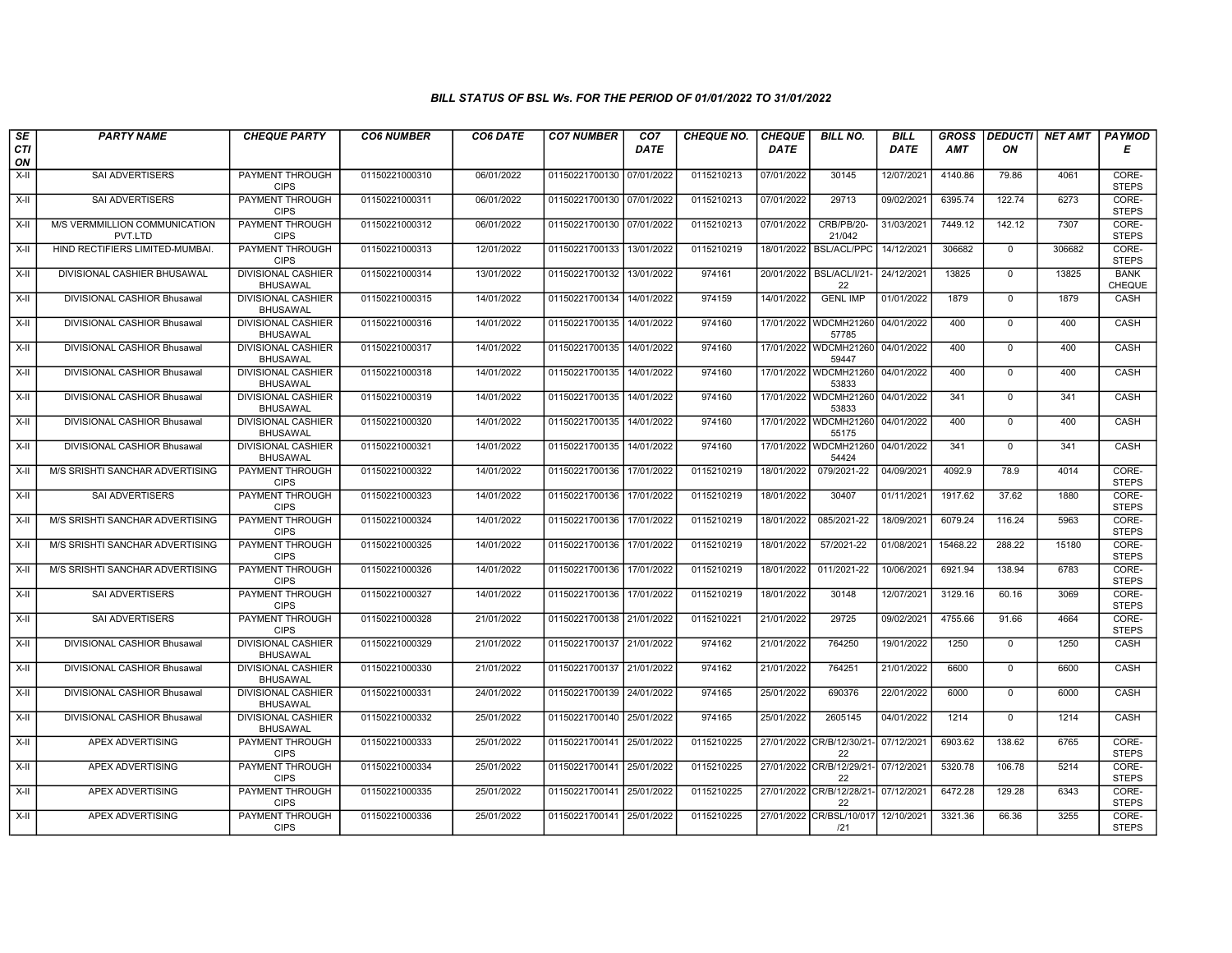| SE               | <b>PARTY NAME</b>                        | <b>CHEQUE PARTY</b>                          | <b>CO6 NUMBER</b> | CO6 DATE   | <b>CO7 NUMBER</b>         | CO <sub>7</sub> | <b>CHEQUE NO.</b> | <b>CHEQUE</b> | <b>BILL NO.</b>                               | <b>BILL</b> | <b>GROSS</b> |                | <b>DEDUCTI NET AMT</b> | <b>PAYMOD</b>                |
|------------------|------------------------------------------|----------------------------------------------|-------------------|------------|---------------------------|-----------------|-------------------|---------------|-----------------------------------------------|-------------|--------------|----------------|------------------------|------------------------------|
| <b>CTI</b><br>ON |                                          |                                              |                   |            |                           | <b>DATE</b>     |                   | <b>DATE</b>   |                                               | <b>DATE</b> | AMT          | ON             |                        | Е                            |
| $X-H$            | <b>SAI ADVERTISERS</b>                   | <b>PAYMENT THROUGH</b><br><b>CIPS</b>        | 01150221000310    | 06/01/2022 | 01150221700130 07/01/2022 |                 | 0115210213        | 07/01/2022    | 30145                                         | 12/07/2021  | 4140.86      | 79.86          | 4061                   | CORE-<br><b>STEPS</b>        |
| $X-II$           | <b>SAI ADVERTISERS</b>                   | <b>PAYMENT THROUGH</b><br><b>CIPS</b>        | 01150221000311    | 06/01/2022 | 01150221700130 07/01/2022 |                 | 0115210213        | 07/01/2022    | 29713                                         | 09/02/2021  | 6395.74      | 122.74         | 6273                   | CORE-<br><b>STEPS</b>        |
| X-II             | M/S VERMMILLION COMMUNICATION<br>PVT.LTD | <b>PAYMENT THROUGH</b><br><b>CIPS</b>        | 01150221000312    | 06/01/2022 | 01150221700130 07/01/2022 |                 | 0115210213        | 07/01/2022    | <b>CRB/PB/20-</b><br>21/042                   | 31/03/2021  | 7449.12      | 142.12         | 7307                   | CORE-<br><b>STEPS</b>        |
| X-II             | HIND RECTIFIERS LIMITED-MUMBAI           | PAYMENT THROUGH<br><b>CIPS</b>               | 01150221000313    | 12/01/2022 | 01150221700133            | 13/01/2022      | 0115210219        | 18/01/2022    | <b>BSL/ACL/PPC</b>                            | 14/12/2021  | 306682       | $\mathbf 0$    | 306682                 | CORE-<br><b>STEPS</b>        |
| $X-H$            | DIVISIONAL CASHIER BHUSAWAL              | <b>DIVISIONAL CASHIER</b><br>BHUSAWAL        | 01150221000314    | 13/01/2022 | 01150221700132            | 13/01/2022      | 974161            | 20/01/2022    | BSL/ACL/I/21<br>22                            | 24/12/2021  | 13825        | $\mathbf 0$    | 13825                  | <b>BANK</b><br><b>CHEQUE</b> |
| $X-H$            | DIVISIONAL CASHIOR Bhusawal              | <b>DIVISIONAL CASHIER</b><br><b>BHUSAWAL</b> | 01150221000315    | 14/01/2022 | 01150221700134 14/01/2022 |                 | 974159            | 14/01/2022    | <b>GENL IMP</b>                               | 01/01/2022  | 1879         | $\Omega$       | 1879                   | CASH                         |
| X-II             | DIVISIONAL CASHIOR Bhusawal              | DIVISIONAL CASHIER<br><b>BHUSAWAL</b>        | 01150221000316    | 14/01/2022 | 01150221700135            | 14/01/2022      | 974160            |               | 17/01/2022 WDCMH21260<br>57785                | 04/01/2022  | 400          | $\mathbf 0$    | 400                    | CASH                         |
| X-II             | DIVISIONAL CASHIOR Bhusawal              | <b>DIVISIONAL CASHIER</b><br><b>BHUSAWAL</b> | 01150221000317    | 14/01/2022 | 01150221700135 14/01/2022 |                 | 974160            |               | 17/01/2022 WDCMH21260<br>59447                | 04/01/2022  | 400          | $\mathbf 0$    | 400                    | CASH                         |
| X-II             | DIVISIONAL CASHIOR Bhusawal              | <b>DIVISIONAL CASHIER</b><br><b>BHUSAWAL</b> | 01150221000318    | 14/01/2022 | 01150221700135            | 14/01/2022      | 974160            |               | 17/01/2022 WDCMH21260 04/01/2022<br>53833     |             | 400          | $\mathbf 0$    | 400                    | CASH                         |
| $X-H$            | DIVISIONAL CASHIOR Bhusawal              | <b>DIVISIONAL CASHIER</b><br><b>BHUSAWAL</b> | 01150221000319    | 14/01/2022 | 01150221700135            | 14/01/2022      | 974160            |               | 17/01/2022 WDCMH21260 04/01/2022<br>53833     |             | 341          | $\overline{0}$ | 341                    | CASH                         |
| X-II             | DIVISIONAL CASHIOR Bhusawal              | DIVISIONAL CASHIER<br><b>BHUSAWAL</b>        | 01150221000320    | 14/01/2022 | 01150221700135            | 14/01/2022      | 974160            |               | 17/01/2022   WDCMH21260   04/01/2022<br>55175 |             | 400          | $\mathbf 0$    | 400                    | CASH                         |
| $X-H$            | DIVISIONAL CASHIOR Bhusawal              | <b>DIVISIONAL CASHIER</b><br><b>BHUSAWAL</b> | 01150221000321    | 14/01/2022 | 01150221700135            | 14/01/2022      | 974160            |               | 17/01/2022 WDCMH21260<br>54424                | 04/01/2022  | 341          | $\Omega$       | 341                    | CASH                         |
| X-II             | M/S SRISHTI SANCHAR ADVERTISING          | <b>PAYMENT THROUGH</b><br><b>CIPS</b>        | 01150221000322    | 14/01/2022 | 01150221700136 17/01/2022 |                 | 0115210219        | 18/01/2022    | 079/2021-22                                   | 04/09/2021  | 4092.9       | 78.9           | 4014                   | CORE-<br><b>STEPS</b>        |
| X-II             | <b>SAI ADVERTISERS</b>                   | <b>PAYMENT THROUGH</b><br><b>CIPS</b>        | 01150221000323    | 14/01/2022 | 01150221700136 17/01/2022 |                 | 0115210219        | 18/01/2022    | 30407                                         | 01/11/2021  | 1917.62      | 37.62          | 1880                   | CORE-<br><b>STEPS</b>        |
| $X-H$            | M/S SRISHTI SANCHAR ADVERTISING          | PAYMENT THROUGH<br><b>CIPS</b>               | 01150221000324    | 14/01/2022 | 01150221700136            | 17/01/2022      | 0115210219        | 18/01/2022    | 085/2021-22                                   | 18/09/2021  | 6079.24      | 116.24         | 5963                   | CORE-<br><b>STEPS</b>        |
| X-II             | M/S SRISHTI SANCHAR ADVERTISING          | <b>PAYMENT THROUGH</b><br><b>CIPS</b>        | 01150221000325    | 14/01/2022 | 01150221700136            | 17/01/2022      | 0115210219        | 18/01/2022    | 57/2021-22                                    | 01/08/2021  | 15468.22     | 288.22         | 15180                  | CORE-<br><b>STEPS</b>        |
| X-II             | M/S SRISHTI SANCHAR ADVERTISING          | PAYMENT THROUGH<br><b>CIPS</b>               | 01150221000326    | 14/01/2022 | 01150221700136            | 17/01/2022      | 0115210219        | 18/01/2022    | 011/2021-22                                   | 10/06/2021  | 6921.94      | 138.94         | 6783                   | CORE-<br><b>STEPS</b>        |
| $X-H$            | <b>SAI ADVERTISERS</b>                   | <b>PAYMENT THROUGH</b><br><b>CIPS</b>        | 01150221000327    | 14/01/2022 | 01150221700136 17/01/2022 |                 | 0115210219        | 18/01/2022    | 30148                                         | 12/07/2021  | 3129.16      | 60.16          | 3069                   | CORE-<br><b>STEPS</b>        |
| X-II             | SAI ADVERTISERS                          | PAYMENT THROUGH<br><b>CIPS</b>               | 01150221000328    | 21/01/2022 | 01150221700138 21/01/2022 |                 | 0115210221        | 21/01/2022    | 29725                                         | 09/02/2021  | 4755.66      | 91.66          | 4664                   | CORE-<br><b>STEPS</b>        |
| $X-H$            | DIVISIONAL CASHIOR Bhusawal              | <b>DIVISIONAL CASHIER</b><br><b>BHUSAWAL</b> | 01150221000329    | 21/01/2022 | 01150221700137 21/01/2022 |                 | 974162            | 21/01/2022    | 764250                                        | 19/01/2022  | 1250         | $\Omega$       | 1250                   | CASH                         |
| $X-H$            | DIVISIONAL CASHIOR Bhusawal              | <b>DIVISIONAL CASHIER</b><br><b>BHUSAWAL</b> | 01150221000330    | 21/01/2022 | 01150221700137 21/01/2022 |                 | 974162            | 21/01/2022    | 764251                                        | 21/01/2022  | 6600         | $\mathbf 0$    | 6600                   | CASH                         |
| X-II             | DIVISIONAL CASHIOR Bhusawal              | <b>DIVISIONAL CASHIER</b><br><b>BHUSAWAL</b> | 01150221000331    | 24/01/2022 | 01150221700139 24/01/2022 |                 | 974165            | 25/01/2022    | 690376                                        | 22/01/2022  | 6000         | $\mathbf 0$    | 6000                   | CASH                         |
| X-II             | DIVISIONAL CASHIOR Bhusawal              | <b>DIVISIONAL CASHIER</b><br><b>BHUSAWAL</b> | 01150221000332    | 25/01/2022 | 01150221700140 25/01/2022 |                 | 974165            | 25/01/2022    | 2605145                                       | 04/01/2022  | 1214         | $\mathbf 0$    | 1214                   | CASH                         |
| $X-II$           | <b>APEX ADVERTISING</b>                  | PAYMENT THROUGH<br><b>CIPS</b>               | 01150221000333    | 25/01/2022 | 01150221700141 25/01/2022 |                 | 0115210225        |               | 27/01/2022 CR/B/12/30/21<br>22                | 07/12/2021  | 6903.62      | 138.62         | 6765                   | CORE-<br><b>STEPS</b>        |
| $X-H$            | APEX ADVERTISING                         | PAYMENT THROUGH<br><b>CIPS</b>               | 01150221000334    | 25/01/2022 | 01150221700141 25/01/2022 |                 | 0115210225        |               | 27/01/2022 CR/B/12/29/21-<br>22               | 07/12/2021  | 5320.78      | 106.78         | 5214                   | CORE-<br><b>STEPS</b>        |
| $X-H$            | <b>APEX ADVERTISING</b>                  | <b>PAYMENT THROUGH</b><br><b>CIPS</b>        | 01150221000335    | 25/01/2022 | 01150221700141 25/01/2022 |                 | 0115210225        |               | 27/01/2022 CR/B/12/28/21- 07/12/2021<br>22    |             | 6472.28      | 129.28         | 6343                   | CORE-<br><b>STEPS</b>        |
| $X-II$           | APEX ADVERTISING                         | PAYMENT THROUGH<br><b>CIPS</b>               | 01150221000336    | 25/01/2022 | 01150221700141 25/01/2022 |                 | 0115210225        | 27/01/2022    | CR/BSL/10/017 12/10/2021<br>121               |             | 3321.36      | 66.36          | 3255                   | CORE-<br><b>STEPS</b>        |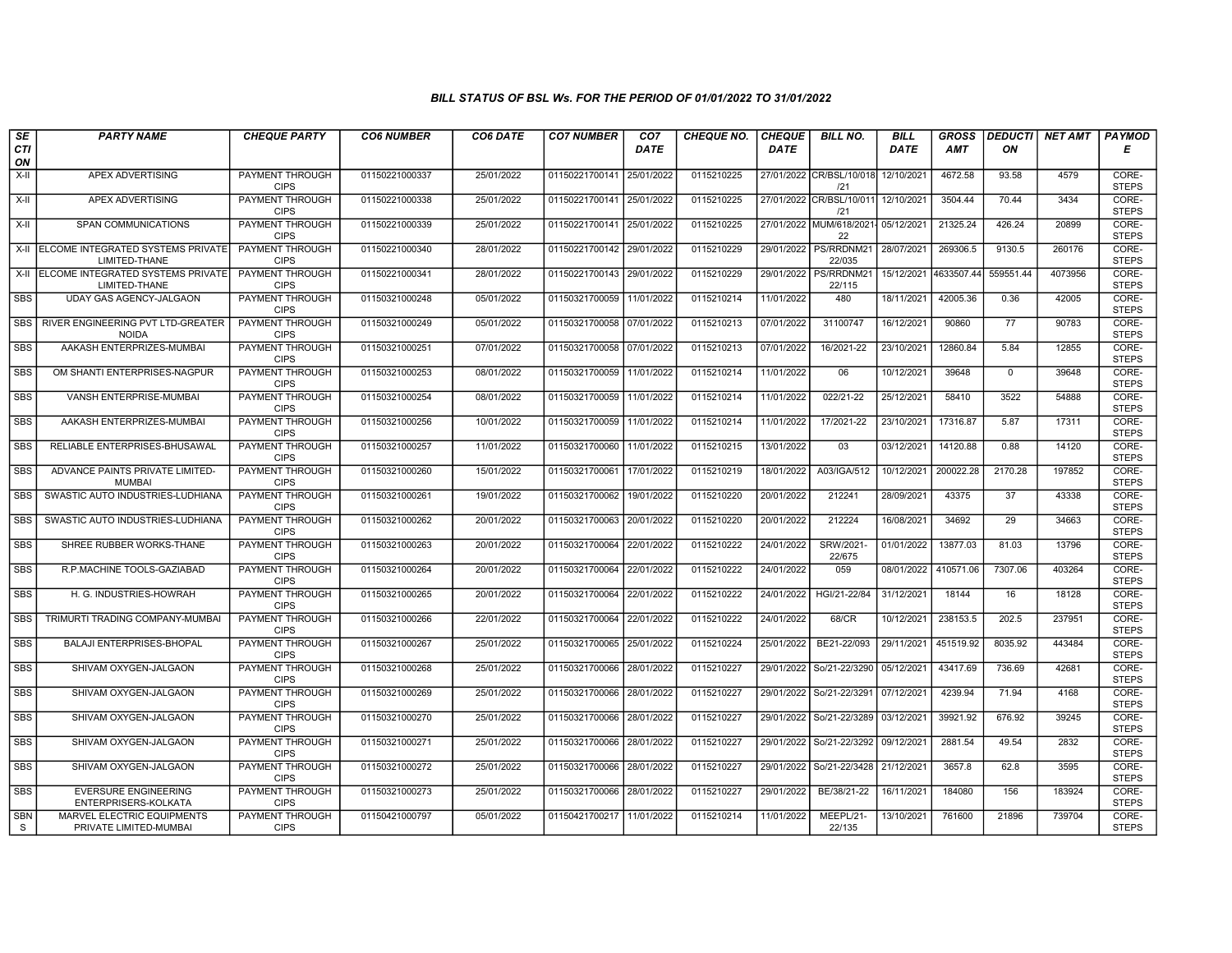| SE              | <b>PARTY NAME</b>                                       | <b>CHEQUE PARTY</b>                   | <b>CO6 NUMBER</b> | CO6 DATE   | <b>CO7 NUMBER</b>         | CO <sub>7</sub> | <b>CHEQUE NO.</b> | <b>CHEQUE</b> | <b>BILL NO.</b>                            | <b>BILL</b>           | <b>GROSS</b> | <b>DEDUCTI</b> | NET AMT | <b>PAYMOD</b>         |
|-----------------|---------------------------------------------------------|---------------------------------------|-------------------|------------|---------------------------|-----------------|-------------------|---------------|--------------------------------------------|-----------------------|--------------|----------------|---------|-----------------------|
| CTI<br>ON       |                                                         |                                       |                   |            |                           | <b>DATE</b>     |                   | <b>DATE</b>   |                                            | <b>DATE</b>           | <b>AMT</b>   | ON             |         | Е                     |
| $X-H$           | <b>APEX ADVERTISING</b>                                 | <b>PAYMENT THROUGH</b><br><b>CIPS</b> | 01150221000337    | 25/01/2022 | 01150221700141            | 25/01/2022      | 0115210225        |               | 27/01/2022 CR/BSL/10/018<br>121            | 12/10/2021            | 4672.58      | 93.58          | 4579    | CORE-<br><b>STEPS</b> |
| X-II            | <b>APEX ADVERTISING</b>                                 | <b>PAYMENT THROUGH</b><br><b>CIPS</b> | 01150221000338    | 25/01/2022 | 01150221700141 25/01/2022 |                 | 0115210225        |               | 27/01/2022 CR/BSL/10/011 12/10/2021<br>121 |                       | 3504.44      | 70.44          | 3434    | CORE-<br><b>STEPS</b> |
| X-II            | SPAN COMMUNICATIONS                                     | PAYMENT THROUGH<br><b>CIPS</b>        | 01150221000339    | 25/01/2022 | 01150221700141            | 25/01/2022      | 0115210225        |               | 27/01/2022 MUM/618/2021- 05/12/2021<br>22  |                       | 21325.24     | 426.24         | 20899   | CORE-<br><b>STEPS</b> |
| X-II            | ELCOME INTEGRATED SYSTEMS PRIVATE<br>LIMITED-THANE      | <b>PAYMENT THROUGH</b><br><b>CIPS</b> | 01150221000340    | 28/01/2022 | 01150221700142            | 29/01/2022      | 0115210229        | 29/01/2022    | PS/RRDNM21<br>22/035                       | 28/07/2021            | 269306.5     | 9130.5         | 260176  | CORE-<br><b>STEPS</b> |
|                 | X-II ELCOME INTEGRATED SYSTEMS PRIVATE<br>LIMITED-THANE | <b>PAYMENT THROUGH</b><br><b>CIPS</b> | 01150221000341    | 28/01/2022 | 01150221700143 29/01/2022 |                 | 0115210229        |               | 29/01/2022 PS/RRDNM21<br>22/115            | 15/12/2021 4633507.44 |              | 559551.44      | 4073956 | CORE-<br><b>STEPS</b> |
| <b>SBS</b>      | <b>UDAY GAS AGENCY-JALGAON</b>                          | <b>PAYMENT THROUGH</b><br><b>CIPS</b> | 01150321000248    | 05/01/2022 | 01150321700059 11/01/2022 |                 | 0115210214        | 11/01/2022    | 480                                        | 18/11/2021            | 42005.36     | 0.36           | 42005   | CORE-<br><b>STEPS</b> |
| SBS I           | RIVER ENGINEERING PVT LTD-GREATER<br><b>NOIDA</b>       | PAYMENT THROUGH<br><b>CIPS</b>        | 01150321000249    | 05/01/2022 | 01150321700058 07/01/2022 |                 | 0115210213        | 07/01/2022    | 31100747                                   | 16/12/2021            | 90860        | 77             | 90783   | CORE-<br><b>STEPS</b> |
| <b>SBS</b>      | AAKASH ENTERPRIZES-MUMBAI                               | <b>PAYMENT THROUGH</b><br><b>CIPS</b> | 01150321000251    | 07/01/2022 | 01150321700058 07/01/2022 |                 | 0115210213        | 07/01/2022    | 16/2021-22                                 | 23/10/2021            | 12860.84     | 5.84           | 12855   | CORE-<br><b>STEPS</b> |
| <b>SBS</b>      | OM SHANTI ENTERPRISES-NAGPUR                            | <b>PAYMENT THROUGH</b><br><b>CIPS</b> | 01150321000253    | 08/01/2022 | 01150321700059 11/01/2022 |                 | 0115210214        | 11/01/2022    | 06                                         | 10/12/2021            | 39648        | $\mathbf 0$    | 39648   | CORE-<br><b>STEPS</b> |
| <b>SBS</b>      | VANSH ENTERPRISE-MUMBAI                                 | <b>PAYMENT THROUGH</b><br><b>CIPS</b> | 01150321000254    | 08/01/2022 | 01150321700059 11/01/2022 |                 | 0115210214        | 11/01/2022    | 022/21-22                                  | 25/12/2021            | 58410        | 3522           | 54888   | CORE-<br><b>STEPS</b> |
| SBS             | AAKASH ENTERPRIZES-MUMBAI                               | PAYMENT THROUGH<br><b>CIPS</b>        | 01150321000256    | 10/01/2022 | 01150321700059            | 11/01/2022      | 0115210214        | 11/01/2022    | 17/2021-22                                 | 23/10/2021            | 17316.87     | 5.87           | 17311   | CORE-<br><b>STEPS</b> |
| <b>SBS</b>      | RELIABLE ENTERPRISES-BHUSAWAL                           | PAYMENT THROUGH<br><b>CIPS</b>        | 01150321000257    | 11/01/2022 | 01150321700060 11/01/2022 |                 | 0115210215        | 13/01/2022    | 03                                         | 03/12/2021            | 14120.88     | 0.88           | 14120   | CORE-<br><b>STEPS</b> |
| <b>SBS</b>      | ADVANCE PAINTS PRIVATE LIMITED-<br><b>MUMBAI</b>        | <b>PAYMENT THROUGH</b><br><b>CIPS</b> | 01150321000260    | 15/01/2022 | 01150321700061            | 17/01/2022      | 0115210219        | 18/01/2022    | A03/IGA/512                                | 10/12/2021            | 200022.28    | 2170.28        | 197852  | CORE-<br><b>STEPS</b> |
| <b>SBS</b>      | SWASTIC AUTO INDUSTRIES-LUDHIANA                        | <b>PAYMENT THROUGH</b><br><b>CIPS</b> | 01150321000261    | 19/01/2022 | 01150321700062            | 19/01/2022      | 0115210220        | 20/01/2022    | 212241                                     | 28/09/2021            | 43375        | 37             | 43338   | CORE-<br><b>STEPS</b> |
| <b>SBS</b>      | SWASTIC AUTO INDUSTRIES-LUDHIANA                        | PAYMENT THROUGH<br><b>CIPS</b>        | 01150321000262    | 20/01/2022 | 01150321700063            | 20/01/2022      | 0115210220        | 20/01/2022    | 212224                                     | 16/08/2021            | 34692        | 29             | 34663   | CORE-<br><b>STEPS</b> |
| <b>SBS</b>      | SHREE RUBBER WORKS-THANE                                | PAYMENT THROUGH<br><b>CIPS</b>        | 01150321000263    | 20/01/2022 | 01150321700064            | 22/01/2022      | 0115210222        | 24/01/2022    | SRW/2021-<br>22/675                        | 01/01/2022            | 13877.03     | 81.03          | 13796   | CORE-<br><b>STEPS</b> |
| <b>SBS</b>      | R.P.MACHINE TOOLS-GAZIABAD                              | <b>PAYMENT THROUGH</b><br><b>CIPS</b> | 01150321000264    | 20/01/2022 | 01150321700064            | 22/01/2022      | 0115210222        | 24/01/2022    | 059                                        | 08/01/2022            | 410571.06    | 7307.06        | 403264  | CORE-<br><b>STEPS</b> |
| <b>SBS</b>      | H. G. INDUSTRIES-HOWRAH                                 | <b>PAYMENT THROUGH</b><br><b>CIPS</b> | 01150321000265    | 20/01/2022 | 01150321700064            | 22/01/2022      | 0115210222        | 24/01/2022    | HGI/21-22/84                               | 31/12/2021            | 18144        | 16             | 18128   | CORE-<br><b>STEPS</b> |
| SBS             | TRIMURTI TRADING COMPANY-MUMBAI                         | PAYMENT THROUGH<br><b>CIPS</b>        | 01150321000266    | 22/01/2022 | 01150321700064            | 22/01/2022      | 0115210222        | 24/01/2022    | 68/CR                                      | 10/12/2021            | 238153.5     | 202.5          | 237951  | CORE-<br><b>STEPS</b> |
| <b>SBS</b>      | <b>BALAJI ENTERPRISES-BHOPAL</b>                        | PAYMENT THROUGH<br><b>CIPS</b>        | 01150321000267    | 25/01/2022 | 01150321700065            | 25/01/2022      | 0115210224        | 25/01/2022    | BE21-22/093                                | 29/11/2021            | 451519.92    | 8035.92        | 443484  | CORE-<br><b>STEPS</b> |
| <b>SBS</b>      | SHIVAM OXYGEN-JALGAON                                   | PAYMENT THROUGH<br><b>CIPS</b>        | 01150321000268    | 25/01/2022 | 01150321700066            | 28/01/2022      | 0115210227        | 29/01/2022    | So/21-22/3290                              | 05/12/2021            | 43417.69     | 736.69         | 42681   | CORE-<br><b>STEPS</b> |
| SBS             | SHIVAM OXYGEN-JALGAON                                   | PAYMENT THROUGH<br><b>CIPS</b>        | 01150321000269    | 25/01/2022 | 01150321700066            | 28/01/2022      | 0115210227        |               | 29/01/2022 So/21-22/3291                   | 07/12/2021            | 4239.94      | 71.94          | 4168    | CORE-<br><b>STEPS</b> |
| SBS             | SHIVAM OXYGEN-JALGAON                                   | PAYMENT THROUGH<br><b>CIPS</b>        | 01150321000270    | 25/01/2022 | 01150321700066            | 28/01/2022      | 0115210227        |               | 29/01/2022 So/21-22/3289                   | 03/12/2021            | 39921.92     | 676.92         | 39245   | CORE-<br><b>STEPS</b> |
| <b>SBS</b>      | SHIVAM OXYGEN-JALGAON                                   | PAYMENT THROUGH<br><b>CIPS</b>        | 01150321000271    | 25/01/2022 | 01150321700066            | 28/01/2022      | 0115210227        |               | 29/01/2022 So/21-22/3292                   | 09/12/2021            | 2881.54      | 49.54          | 2832    | CORE-<br><b>STEPS</b> |
| <b>SBS</b>      | SHIVAM OXYGEN-JALGAON                                   | <b>PAYMENT THROUGH</b><br><b>CIPS</b> | 01150321000272    | 25/01/2022 | 01150321700066            | 28/01/2022      | 0115210227        | 29/01/2022    | So/21-22/3428                              | 21/12/2021            | 3657.8       | 62.8           | 3595    | CORE-<br><b>STEPS</b> |
| <b>SBS</b>      | <b>EVERSURE ENGINEERING</b><br>ENTERPRISERS-KOLKATA     | <b>PAYMENT THROUGH</b><br><b>CIPS</b> | 01150321000273    | 25/01/2022 | 01150321700066 28/01/2022 |                 | 0115210227        | 29/01/2022    | BE/38/21-22                                | 16/11/2021            | 184080       | 156            | 183924  | CORE-<br><b>STEPS</b> |
| <b>SBN</b><br>S | MARVEL ELECTRIC EQUIPMENTS<br>PRIVATE LIMITED-MUMBAI    | PAYMENT THROUGH<br><b>CIPS</b>        | 01150421000797    | 05/01/2022 | 01150421700217 11/01/2022 |                 | 0115210214        | 11/01/2022    | MEEPL/21-<br>22/135                        | 13/10/2021            | 761600       | 21896          | 739704  | CORE-<br><b>STEPS</b> |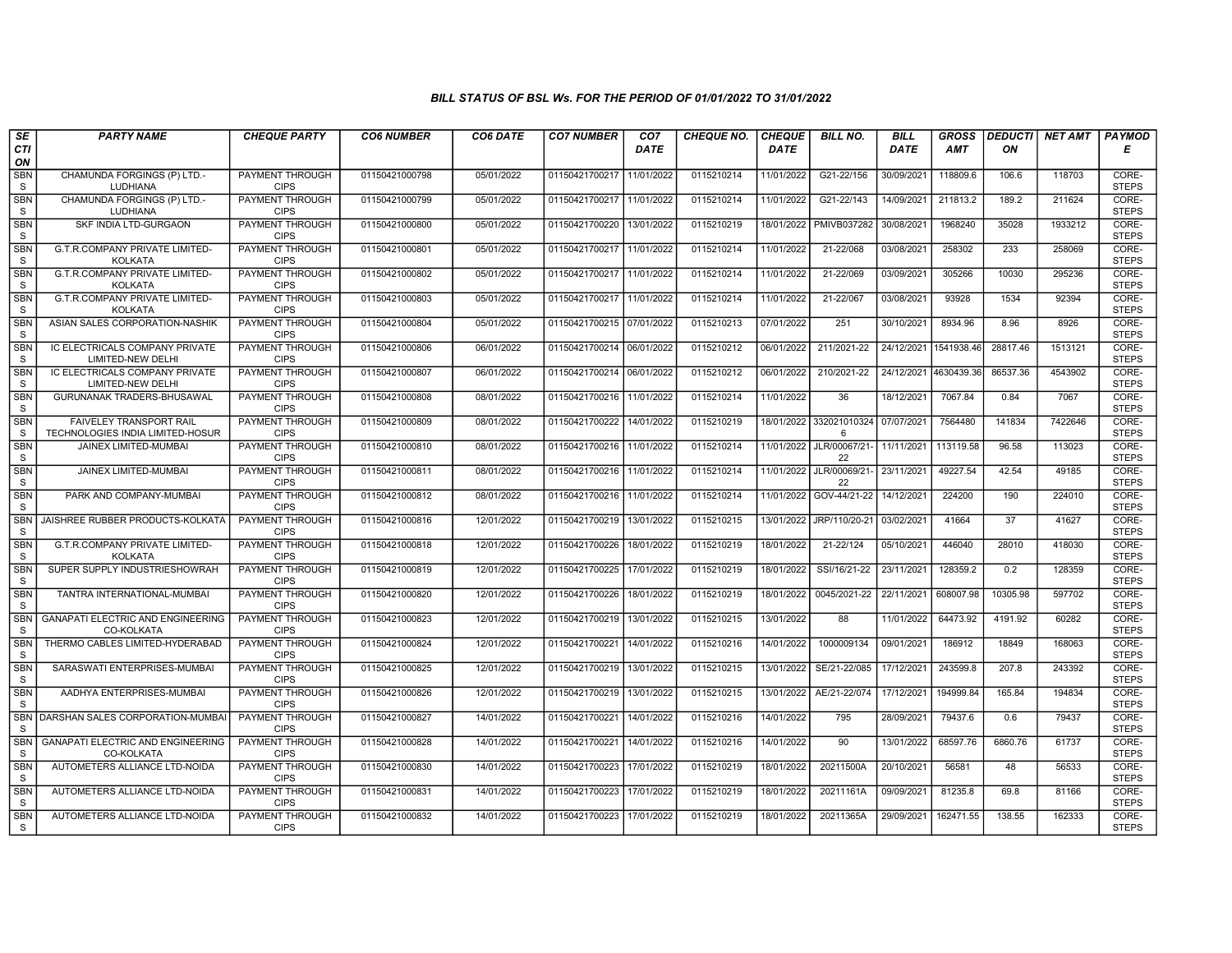| SE                         | <b>PARTY NAME</b>                                           | <b>CHEQUE PARTY</b>                   | <b>CO6 NUMBER</b> | CO6 DATE   | <b>CO7 NUMBER</b>         | CO <sub>7</sub> | <b>CHEQUE NO.</b> | <b>CHEQUE</b> | <b>BILL NO.</b>                | <b>BILL</b> | <b>GROSS</b> |          | <b>DEDUCTI</b> NET AMT | <b>PAYMOD</b>         |
|----------------------------|-------------------------------------------------------------|---------------------------------------|-------------------|------------|---------------------------|-----------------|-------------------|---------------|--------------------------------|-------------|--------------|----------|------------------------|-----------------------|
| CTI<br>ON                  |                                                             |                                       |                   |            |                           | <b>DATE</b>     |                   | <b>DATE</b>   |                                | <b>DATE</b> | <b>AMT</b>   | ON       |                        | Е                     |
| <b>SBN</b><br>${\tt S}$    | CHAMUNDA FORGINGS (P) LTD.-<br><b>LUDHIANA</b>              | <b>PAYMENT THROUGH</b><br><b>CIPS</b> | 01150421000798    | 05/01/2022 | 01150421700217            | 11/01/2022      | 0115210214        | 11/01/2022    | G21-22/156                     | 30/09/2021  | 118809.6     | 106.6    | 118703                 | CORE-<br><b>STEPS</b> |
| <b>SBN</b><br>${\tt S}$    | CHAMUNDA FORGINGS (P) LTD.-<br>LUDHIANA                     | <b>PAYMENT THROUGH</b><br><b>CIPS</b> | 01150421000799    | 05/01/2022 | 01150421700217 11/01/2022 |                 | 0115210214        | 11/01/2022    | G21-22/143                     | 14/09/2021  | 211813.2     | 189.2    | 211624                 | CORE-<br><b>STEPS</b> |
| SBN<br>S                   | SKF INDIA LTD-GURGAON                                       | PAYMENT THROUGH<br><b>CIPS</b>        | 01150421000800    | 05/01/2022 | 01150421700220            | 13/01/2022      | 0115210219        | 18/01/2022    | PMIVB037282                    | 30/08/2021  | 1968240      | 35028    | 1933212                | CORE-<br><b>STEPS</b> |
| <b>SBN</b><br>S            | G.T.R.COMPANY PRIVATE LIMITED-<br><b>KOLKATA</b>            | PAYMENT THROUGH<br><b>CIPS</b>        | 01150421000801    | 05/01/2022 | 01150421700217            | 11/01/2022      | 0115210214        | 11/01/2022    | 21-22/068                      | 03/08/2021  | 258302       | 233      | 258069                 | CORE-<br><b>STEPS</b> |
| <b>SBN</b><br><sub>S</sub> | <b>G.T.R.COMPANY PRIVATE LIMITED-</b><br><b>KOLKATA</b>     | <b>PAYMENT THROUGH</b><br><b>CIPS</b> | 01150421000802    | 05/01/2022 | 01150421700217            | 11/01/2022      | 0115210214        | 11/01/2022    | 21-22/069                      | 03/09/2021  | 305266       | 10030    | 295236                 | CORE-<br><b>STEPS</b> |
| <b>SBN</b><br><sub>S</sub> | <b>G.T.R.COMPANY PRIVATE LIMITED-</b><br><b>KOLKATA</b>     | <b>PAYMENT THROUGH</b><br><b>CIPS</b> | 01150421000803    | 05/01/2022 | 01150421700217            | 11/01/2022      | 0115210214        | 11/01/2022    | 21-22/067                      | 03/08/2021  | 93928        | 1534     | 92394                  | CORE-<br><b>STEPS</b> |
| <b>SBN</b><br>S            | ASIAN SALES CORPORATION-NASHIK                              | PAYMENT THROUGH<br><b>CIPS</b>        | 01150421000804    | 05/01/2022 | 01150421700215 07/01/2022 |                 | 0115210213        | 07/01/2022    | 251                            | 30/10/2021  | 8934.96      | 8.96     | 8926                   | CORE-<br><b>STEPS</b> |
| <b>SBN</b><br>S            | IC ELECTRICALS COMPANY PRIVATE<br>LIMITED-NEW DELHI         | <b>PAYMENT THROUGH</b><br><b>CIPS</b> | 01150421000806    | 06/01/2022 | 01150421700214 06/01/2022 |                 | 0115210212        | 06/01/2022    | 211/2021-22                    | 24/12/2021  | 1541938.46   | 28817.46 | 1513121                | CORE-<br><b>STEPS</b> |
| <b>SBN</b><br><sub>S</sub> | IC ELECTRICALS COMPANY PRIVATE<br>LIMITED-NEW DELHI         | <b>PAYMENT THROUGH</b><br><b>CIPS</b> | 01150421000807    | 06/01/2022 | 01150421700214 06/01/2022 |                 | 0115210212        | 06/01/2022    | 210/2021-22                    | 24/12/2021  | 4630439.3    | 86537.36 | 4543902                | CORE-<br><b>STEPS</b> |
| <b>SBN</b><br>S            | GURUNANAK TRADERS-BHUSAWAL                                  | <b>PAYMENT THROUGH</b><br><b>CIPS</b> | 01150421000808    | 08/01/2022 | 01150421700216 11/01/2022 |                 | 0115210214        | 11/01/2022    | 36                             | 18/12/2021  | 7067.84      | 0.84     | 7067                   | CORE-<br><b>STEPS</b> |
| <b>SBN</b><br>S            | FAIVELEY TRANSPORT RAIL<br>TECHNOLOGIES INDIA LIMITED-HOSUR | <b>PAYMENT THROUGH</b><br><b>CIPS</b> | 01150421000809    | 08/01/2022 | 01150421700222            | 14/01/2022      | 0115210219        | 18/01/2022    | 332021010324<br>6              | 07/07/2021  | 7564480      | 141834   | 7422646                | CORE-<br><b>STEPS</b> |
| <b>SBN</b><br>S            | JAINEX LIMITED-MUMBAI                                       | PAYMENT THROUGH<br><b>CIPS</b>        | 01150421000810    | 08/01/2022 | 01150421700216 11/01/2022 |                 | 0115210214        |               | 11/01/2022 JLR/00067/21-<br>22 | 11/11/2021  | 113119.58    | 96.58    | 113023                 | CORE-<br><b>STEPS</b> |
| <b>SBN</b><br>${\tt S}$    | JAINEX LIMITED-MUMBAI                                       | <b>PAYMENT THROUGH</b><br><b>CIPS</b> | 01150421000811    | 08/01/2022 | 01150421700216 11/01/2022 |                 | 0115210214        | 11/01/2022    | JLR/00069/21-<br>22            | 23/11/2021  | 49227.54     | 42.54    | 49185                  | CORE-<br><b>STEPS</b> |
| <b>SBN</b><br><sub>S</sub> | PARK AND COMPANY-MUMBAI                                     | <b>PAYMENT THROUGH</b><br><b>CIPS</b> | 01150421000812    | 08/01/2022 | 01150421700216 11/01/2022 |                 | 0115210214        | 11/01/2022    | GOV-44/21-22                   | 14/12/2021  | 224200       | 190      | 224010                 | CORE-<br><b>STEPS</b> |
| SBN<br><sub>S</sub>        | JAISHREE RUBBER PRODUCTS-KOLKATA                            | <b>PAYMENT THROUGH</b><br><b>CIPS</b> | 01150421000816    | 12/01/2022 | 01150421700219            | 13/01/2022      | 0115210215        | 13/01/2022    | JRP/110/20-21                  | 03/02/2021  | 41664        | 37       | 41627                  | CORE-<br><b>STEPS</b> |
| <b>SBN</b><br>S            | G.T.R.COMPANY PRIVATE LIMITED-<br><b>KOLKATA</b>            | PAYMENT THROUGH<br><b>CIPS</b>        | 01150421000818    | 12/01/2022 | 01150421700226            | 18/01/2022      | 0115210219        | 18/01/2022    | 21-22/124                      | 05/10/2021  | 446040       | 28010    | 418030                 | CORE-<br><b>STEPS</b> |
| <b>SBN</b><br>S            | SUPER SUPPLY INDUSTRIESHOWRAH                               | <b>PAYMENT THROUGH</b><br><b>CIPS</b> | 01150421000819    | 12/01/2022 | 01150421700225 17/01/2022 |                 | 0115210219        | 18/01/2022    | SSI/16/21-22                   | 23/11/2021  | 128359.2     | 0.2      | 128359                 | CORE-<br><b>STEPS</b> |
| <b>SBN</b><br>S            | TANTRA INTERNATIONAL-MUMBAI                                 | <b>PAYMENT THROUGH</b><br><b>CIPS</b> | 01150421000820    | 12/01/2022 | 01150421700226            | 18/01/2022      | 0115210219        | 18/01/2022    | 0045/2021-22                   | 22/11/2021  | 608007.98    | 10305.98 | 597702                 | CORE-<br><b>STEPS</b> |
| <b>SBN</b><br><sub>S</sub> | <b>GANAPATI ELECTRIC AND ENGINEERING</b><br>CO-KOLKATA      | <b>PAYMENT THROUGH</b><br><b>CIPS</b> | 01150421000823    | 12/01/2022 | 01150421700219            | 13/01/2022      | 0115210215        | 13/01/2022    | 88                             | 11/01/2022  | 64473.92     | 4191.92  | 60282                  | CORE-<br><b>STEPS</b> |
| SBN<br>S                   | THERMO CABLES LIMITED-HYDERABAD                             | PAYMENT THROUGH<br><b>CIPS</b>        | 01150421000824    | 12/01/2022 | 01150421700221            | 14/01/2022      | 0115210216        | 14/01/2022    | 1000009134                     | 09/01/2021  | 186912       | 18849    | 168063                 | CORE-<br><b>STEPS</b> |
| <b>SBN</b><br>S            | SARASWATI ENTERPRISES-MUMBAI                                | <b>PAYMENT THROUGH</b><br><b>CIPS</b> | 01150421000825    | 12/01/2022 | 01150421700219            | 13/01/2022      | 0115210215        | 13/01/2022    | SE/21-22/085                   | 17/12/2021  | 243599.8     | 207.8    | 243392                 | CORE-<br><b>STEPS</b> |
| <b>SBN</b><br>S            | AADHYA ENTERPRISES-MUMBAI                                   | <b>PAYMENT THROUGH</b><br><b>CIPS</b> | 01150421000826    | 12/01/2022 | 01150421700219 13/01/2022 |                 | 0115210215        | 13/01/2022    | AE/21-22/074                   | 17/12/2021  | 194999.84    | 165.84   | 194834                 | CORE-<br><b>STEPS</b> |
| SBN<br><sub>S</sub>        | DARSHAN SALES CORPORATION-MUMBA                             | PAYMENT THROUGH<br><b>CIPS</b>        | 01150421000827    | 14/01/2022 | 01150421700221            | 14/01/2022      | 0115210216        | 14/01/2022    | 795                            | 28/09/2021  | 79437.6      | 0.6      | 79437                  | CORE-<br><b>STEPS</b> |
| <b>SBN</b><br><sub>S</sub> | <b>GANAPATI ELECTRIC AND ENGINEERING</b><br>CO-KOLKATA      | PAYMENT THROUGH<br><b>CIPS</b>        | 01150421000828    | 14/01/2022 | 01150421700221            | 14/01/2022      | 0115210216        | 14/01/2022    | 90                             | 13/01/2022  | 68597.76     | 6860.76  | 61737                  | CORE-<br><b>STEPS</b> |
| <b>SBN</b><br><sub>S</sub> | AUTOMETERS ALLIANCE LTD-NOIDA                               | <b>PAYMENT THROUGH</b><br><b>CIPS</b> | 01150421000830    | 14/01/2022 | 01150421700223            | 17/01/2022      | 0115210219        | 18/01/2022    | 20211500A                      | 20/10/2021  | 56581        | 48       | 56533                  | CORE-<br><b>STEPS</b> |
| <b>SBN</b><br><sub>S</sub> | AUTOMETERS ALLIANCE LTD-NOIDA                               | <b>PAYMENT THROUGH</b><br><b>CIPS</b> | 01150421000831    | 14/01/2022 | 01150421700223 17/01/2022 |                 | 0115210219        | 18/01/2022    | 20211161A                      | 09/09/2021  | 81235.8      | 69.8     | 81166                  | CORE-<br><b>STEPS</b> |
| <b>SBN</b><br>S.           | AUTOMETERS ALLIANCE LTD-NOIDA                               | <b>PAYMENT THROUGH</b><br><b>CIPS</b> | 01150421000832    | 14/01/2022 | 01150421700223 17/01/2022 |                 | 0115210219        | 18/01/2022    | 20211365A                      | 29/09/2021  | 162471.55    | 138.55   | 162333                 | CORE-<br><b>STEPS</b> |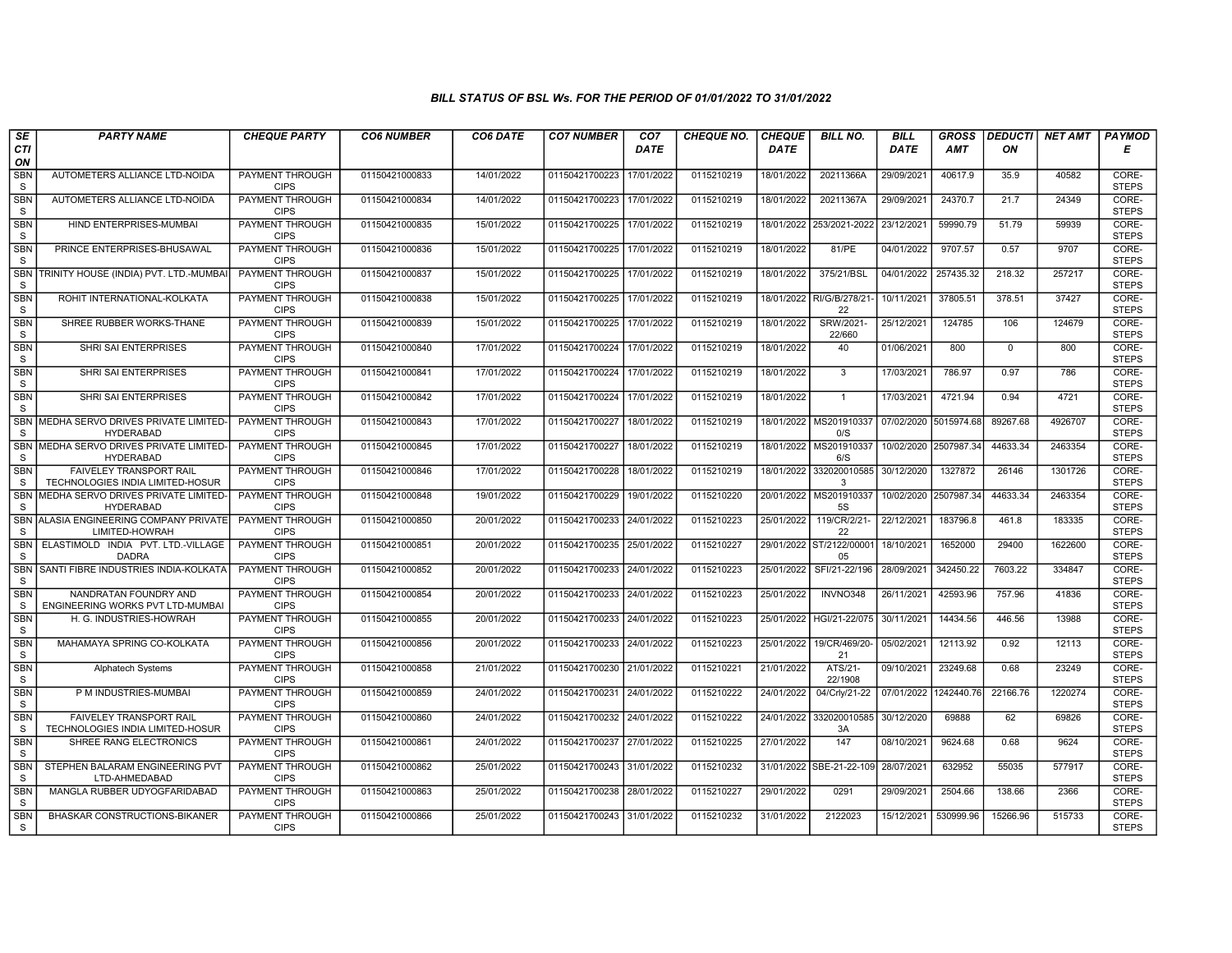| SE                        | <b>PARTY NAME</b>                                                  | <b>CHEQUE PARTY</b>                   | <b>CO6 NUMBER</b> | CO6 DATE   | <b>CO7 NUMBER</b>         | CO <sub>7</sub> | <b>CHEQUE NO.</b> | <b>CHEQUE</b> | <b>BILL NO.</b>                | <b>BILL</b>           | <b>GROSS</b> | <b>DEDUCTI</b> | NET AMT | <b>PAYMOD</b>         |
|---------------------------|--------------------------------------------------------------------|---------------------------------------|-------------------|------------|---------------------------|-----------------|-------------------|---------------|--------------------------------|-----------------------|--------------|----------------|---------|-----------------------|
| CTI<br>ON                 |                                                                    |                                       |                   |            |                           | <b>DATE</b>     |                   | <b>DATE</b>   |                                | <b>DATE</b>           | <b>AMT</b>   | ON             |         | Е                     |
| <b>SBN</b><br>S           | AUTOMETERS ALLIANCE LTD-NOIDA                                      | <b>PAYMENT THROUGH</b><br><b>CIPS</b> | 01150421000833    | 14/01/2022 | 01150421700223            | 17/01/2022      | 0115210219        | 18/01/2022    | 20211366A                      | 29/09/2021            | 40617.9      | 35.9           | 40582   | CORE-<br><b>STEPS</b> |
| <b>SBN</b><br>$\mathsf S$ | AUTOMETERS ALLIANCE LTD-NOIDA                                      | <b>PAYMENT THROUGH</b><br><b>CIPS</b> | 01150421000834    | 14/01/2022 | 01150421700223 17/01/2022 |                 | 0115210219        | 18/01/2022    | 20211367A                      | 29/09/2021            | 24370.7      | 21.7           | 24349   | CORE-<br><b>STEPS</b> |
| <b>SBN</b><br>S           | HIND ENTERPRISES-MUMBAI                                            | PAYMENT THROUGH<br><b>CIPS</b>        | 01150421000835    | 15/01/2022 | 01150421700225 17/01/2022 |                 | 0115210219        | 18/01/2022    | 253/2021-2022                  | 23/12/2021            | 59990.79     | 51.79          | 59939   | CORE-<br><b>STEPS</b> |
| <b>SBN</b><br>S           | PRINCE ENTERPRISES-BHUSAWAL                                        | <b>PAYMENT THROUGH</b><br><b>CIPS</b> | 01150421000836    | 15/01/2022 | 01150421700225            | 17/01/2022      | 0115210219        | 18/01/2022    | 81/PE                          | 04/01/2022            | 9707.57      | 0.57           | 9707    | CORE-<br><b>STEPS</b> |
| <b>SBN</b><br>S           | TRINITY HOUSE (INDIA) PVT. LTD.-MUMBA                              | <b>PAYMENT THROUGH</b><br><b>CIPS</b> | 01150421000837    | 15/01/2022 | 01150421700225 17/01/2022 |                 | 0115210219        | 18/01/2022    | 375/21/BSL                     | 04/01/2022            | 257435.32    | 218.32         | 257217  | CORE-<br><b>STEPS</b> |
| <b>SBN</b><br>S           | ROHIT INTERNATIONAL-KOLKATA                                        | <b>PAYMENT THROUGH</b><br><b>CIPS</b> | 01150421000838    | 15/01/2022 | 01150421700225            | 17/01/2022      | 0115210219        |               | 18/01/2022 RI/G/B/278/21<br>22 | 10/11/2021            | 37805.51     | 378.51         | 37427   | CORE-<br><b>STEPS</b> |
| <b>SBN</b><br>S           | SHREE RUBBER WORKS-THANE                                           | PAYMENT THROUGH<br><b>CIPS</b>        | 01150421000839    | 15/01/2022 | 01150421700225            | 17/01/2022      | 0115210219        | 18/01/2022    | SRW/2021-<br>22/660            | 25/12/2021            | 124785       | 106            | 124679  | CORE-<br><b>STEPS</b> |
| <b>SBN</b><br>S           | SHRI SAI ENTERPRISES                                               | PAYMENT THROUGH<br><b>CIPS</b>        | 01150421000840    | 17/01/2022 | 01150421700224 17/01/2022 |                 | 0115210219        | 18/01/2022    | 40                             | 01/06/2021            | 800          | $\mathbf 0$    | 800     | CORE-<br><b>STEPS</b> |
| <b>SBN</b><br>S           | SHRI SAI ENTERPRISES                                               | <b>PAYMENT THROUGH</b><br><b>CIPS</b> | 01150421000841    | 17/01/2022 | 01150421700224 17/01/2022 |                 | 0115210219        | 18/01/2022    | $\mathbf{3}$                   | 17/03/2021            | 786.97       | 0.97           | 786     | CORE-<br><b>STEPS</b> |
| <b>SBN</b><br>S           | <b>SHRI SAI ENTERPRISES</b>                                        | <b>PAYMENT THROUGH</b><br><b>CIPS</b> | 01150421000842    | 17/01/2022 | 01150421700224 17/01/2022 |                 | 0115210219        | 18/01/2022    | $\overline{1}$                 | 17/03/2021            | 4721.94      | 0.94           | 4721    | CORE-<br><b>STEPS</b> |
| <b>SBN</b><br>$\mathbb S$ | MEDHA SERVO DRIVES PRIVATE LIMITED-<br><b>HYDERABAD</b>            | PAYMENT THROUGH<br><b>CIPS</b>        | 01150421000843    | 17/01/2022 | 01150421700227            | 18/01/2022      | 0115210219        | 18/01/2022    | MS201910337<br>0/S             | 07/02/2020 5015974.68 |              | 89267.68       | 4926707 | CORE-<br><b>STEPS</b> |
| <b>SBN</b><br>S           | MEDHA SERVO DRIVES PRIVATE LIMITED<br><b>HYDERABAD</b>             | PAYMENT THROUGH<br><b>CIPS</b>        | 01150421000845    | 17/01/2022 | 01150421700227            | 18/01/2022      | 0115210219        | 18/01/2022    | MS201910337<br>6/S             | 10/02/2020            | 2507987.34   | 44633.34       | 2463354 | CORE-<br><b>STEPS</b> |
| <b>SBN</b><br>S           | <b>FAIVELEY TRANSPORT RAIL</b><br>TECHNOLOGIES INDIA LIMITED-HOSUR | <b>PAYMENT THROUGH</b><br><b>CIPS</b> | 01150421000846    | 17/01/2022 | 01150421700228            | 18/01/2022      | 0115210219        | 18/01/2022    | 332020010585<br>3              | 30/12/2020            | 1327872      | 26146          | 1301726 | CORE-<br><b>STEPS</b> |
| <b>SBN</b><br>S           | MEDHA SERVO DRIVES PRIVATE LIMITED<br><b>HYDERABAD</b>             | <b>PAYMENT THROUGH</b><br><b>CIPS</b> | 01150421000848    | 19/01/2022 | 01150421700229            | 19/01/2022      | 0115210220        | 20/01/2022    | MS201910337<br><b>5S</b>       | 10/02/2020            | 2507987.34   | 44633.34       | 2463354 | CORE-<br><b>STEPS</b> |
| SBN<br>S                  | ALASIA ENGINEERING COMPANY PRIVATE<br>LIMITED-HOWRAH               | PAYMENT THROUGH<br><b>CIPS</b>        | 01150421000850    | 20/01/2022 | 01150421700233            | 24/01/2022      | 0115210223        | 25/01/2022    | 119/CR/2/21-<br>22             | 22/12/2021            | 183796.8     | 461.8          | 183335  | CORE-<br><b>STEPS</b> |
| <b>SBN</b><br>S           | ELASTIMOLD INDIA PVT. LTD.-VILLAGE<br><b>DADRA</b>                 | PAYMENT THROUGH<br><b>CIPS</b>        | 01150421000851    | 20/01/2022 | 01150421700235 25/01/2022 |                 | 0115210227        |               | 29/01/2022 ST/2122/00001<br>05 | 18/10/2021            | 1652000      | 29400          | 1622600 | CORE-<br><b>STEPS</b> |
| <b>SBN</b><br>S           | SANTI FIBRE INDUSTRIES INDIA-KOLKATA                               | <b>PAYMENT THROUGH</b><br><b>CIPS</b> | 01150421000852    | 20/01/2022 | 01150421700233            | 24/01/2022      | 0115210223        | 25/01/2022    | SFI/21-22/196                  | 28/09/2021            | 342450.22    | 7603.22        | 334847  | CORE-<br><b>STEPS</b> |
| <b>SBN</b><br>S           | NANDRATAN FOUNDRY AND<br>ENGINEERING WORKS PVT LTD-MUMBAI          | <b>PAYMENT THROUGH</b><br><b>CIPS</b> | 01150421000854    | 20/01/2022 | 01150421700233            | 24/01/2022      | 0115210223        | 25/01/2022    | INVNO348                       | 26/11/2021            | 42593.96     | 757.96         | 41836   | CORE-<br><b>STEPS</b> |
| <b>SBN</b><br>S           | H. G. INDUSTRIES-HOWRAH                                            | PAYMENT THROUGH<br><b>CIPS</b>        | 01150421000855    | 20/01/2022 | 01150421700233 24/01/2022 |                 | 0115210223        | 25/01/2022    | HGI/21-22/075                  | 30/11/2021            | 14434.56     | 446.56         | 13988   | CORE-<br><b>STEPS</b> |
| <b>SBN</b><br>$\mathsf S$ | MAHAMAYA SPRING CO-KOLKATA                                         | PAYMENT THROUGH<br><b>CIPS</b>        | 01150421000856    | 20/01/2022 | 01150421700233            | 24/01/2022      | 0115210223        | 25/01/2022    | 19/CR/469/20-<br>21            | 05/02/2021            | 12113.92     | 0.92           | 12113   | CORE-<br><b>STEPS</b> |
| <b>SBN</b><br>S           | Alphatech Systems                                                  | PAYMENT THROUGH<br><b>CIPS</b>        | 01150421000858    | 21/01/2022 | 01150421700230 21/01/2022 |                 | 0115210221        | 21/01/2022    | ATS/21-<br>22/1908             | 09/10/2021            | 23249.68     | 0.68           | 23249   | CORE-<br><b>STEPS</b> |
| <b>SBN</b><br>S           | P M INDUSTRIES-MUMBAI                                              | <b>PAYMENT THROUGH</b><br><b>CIPS</b> | 01150421000859    | 24/01/2022 | 01150421700231 24/01/2022 |                 | 0115210222        | 24/01/2022    | 04/Crly/21-22                  | 07/01/2022            | 1242440.76   | 22166.76       | 1220274 | CORE-<br><b>STEPS</b> |
| SBN<br>S                  | FAIVELEY TRANSPORT RAIL<br>TECHNOLOGIES INDIA LIMITED-HOSUR        | PAYMENT THROUGH<br><b>CIPS</b>        | 01150421000860    | 24/01/2022 | 01150421700232            | 24/01/2022      | 0115210222        | 24/01/2022    | 332020010585<br>3A             | 30/12/2020            | 69888        | 62             | 69826   | CORE-<br><b>STEPS</b> |
| <b>SBN</b><br>S           | SHREE RANG ELECTRONICS                                             | PAYMENT THROUGH<br><b>CIPS</b>        | 01150421000861    | 24/01/2022 | 01150421700237            | 27/01/2022      | 0115210225        | 27/01/2022    | 147                            | 08/10/2021            | 9624.68      | 0.68           | 9624    | CORE-<br><b>STEPS</b> |
| SBN<br>S                  | STEPHEN BALARAM ENGINEERING PVT<br>LTD-AHMEDABAD                   | PAYMENT THROUGH<br><b>CIPS</b>        | 01150421000862    | 25/01/2022 | 01150421700243 31/01/2022 |                 | 0115210232        |               | 31/01/2022 SBE-21-22-109       | 28/07/2021            | 632952       | 55035          | 577917  | CORE-<br><b>STEPS</b> |
| <b>SBN</b><br>S           | MANGLA RUBBER UDYOGFARIDABAD                                       | <b>PAYMENT THROUGH</b><br><b>CIPS</b> | 01150421000863    | 25/01/2022 | 01150421700238 28/01/2022 |                 | 0115210227        | 29/01/2022    | 0291                           | 29/09/2021            | 2504.66      | 138.66         | 2366    | CORE-<br><b>STEPS</b> |
| <b>SBN</b><br>S           | BHASKAR CONSTRUCTIONS-BIKANER                                      | PAYMENT THROUGH<br><b>CIPS</b>        | 01150421000866    | 25/01/2022 | 01150421700243 31/01/2022 |                 | 0115210232        | 31/01/2022    | 2122023                        | 15/12/2021            | 530999.96    | 15266.96       | 515733  | CORE-<br><b>STEPS</b> |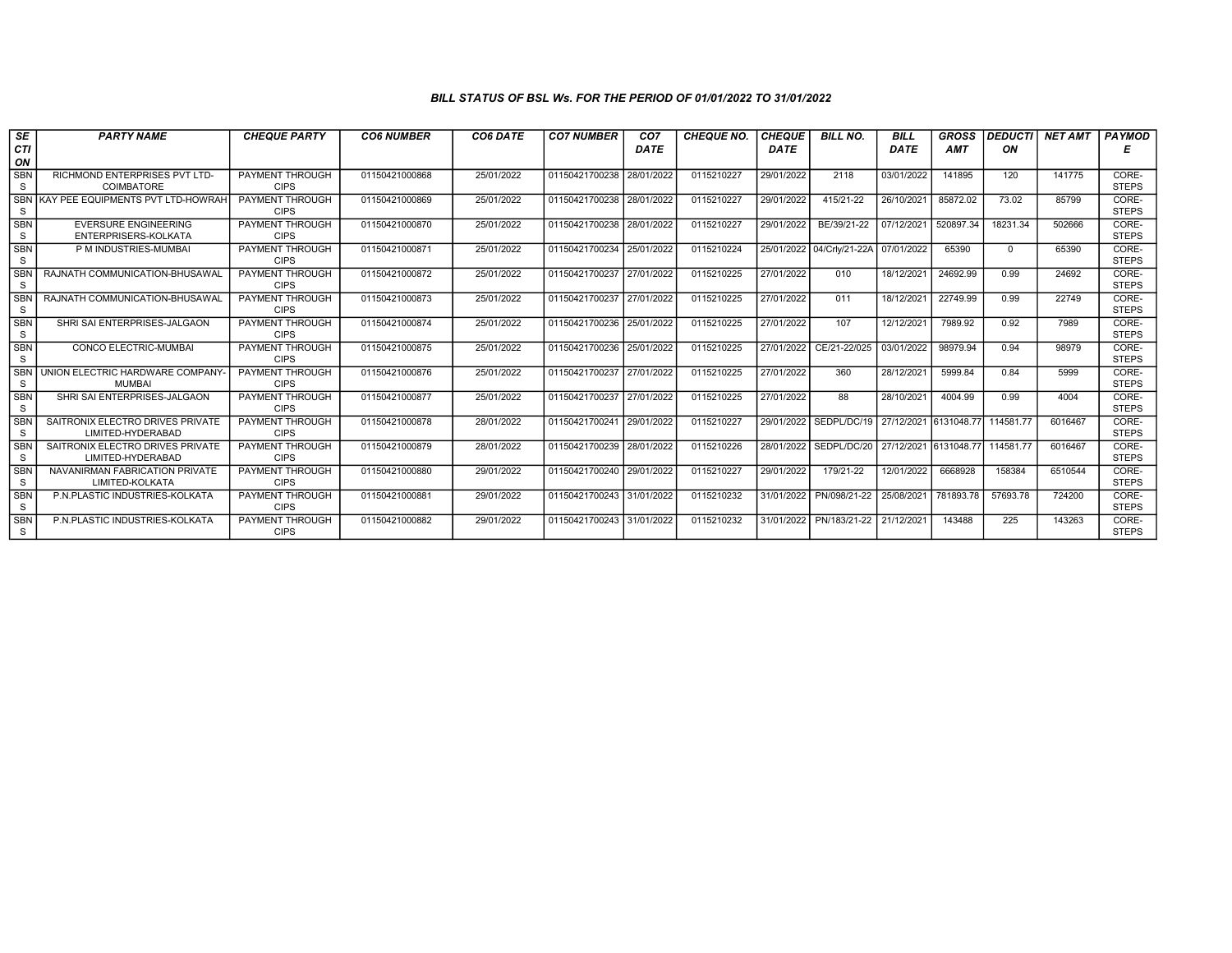| SE<br><b>CTI</b>           | <b>PARTY NAME</b>                                     | <b>CHEQUE PARTY</b>                   | <b>CO6 NUMBER</b> | CO6 DATE   | <b>CO7 NUMBER</b>         | CO <sub>7</sub><br><b>DATE</b> | <b>CHEQUE NO.</b> | <b>CHEQUE</b><br><b>DATE</b> | <b>BILL NO.</b>           | BILL<br><b>DATE</b> | <b>GROSS</b><br><b>AMT</b> | <b>DEDUCTI NET AMT</b><br>ON |         | <b>PAYMOD</b><br>Е    |
|----------------------------|-------------------------------------------------------|---------------------------------------|-------------------|------------|---------------------------|--------------------------------|-------------------|------------------------------|---------------------------|---------------------|----------------------------|------------------------------|---------|-----------------------|
| ON                         |                                                       |                                       |                   |            |                           |                                |                   |                              |                           |                     |                            |                              |         |                       |
| <b>SBN</b><br>S            | RICHMOND ENTERPRISES PVT LTD-<br><b>COIMBATORE</b>    | <b>PAYMENT THROUGH</b><br><b>CIPS</b> | 01150421000868    | 25/01/2022 | 01150421700238            | 28/01/2022                     | 0115210227        | 29/01/2022                   | 2118                      | 03/01/2022          | 141895                     | 120                          | 141775  | CORE-<br><b>STEPS</b> |
| <b>SBN</b><br>S            | KAY PEE EQUIPMENTS PVT LTD-HOWRAH                     | <b>PAYMENT THROUGH</b><br><b>CIPS</b> | 01150421000869    | 25/01/2022 | 01150421700238            | 28/01/2022                     | 0115210227        | 29/01/2022                   | 415/21-22                 | 26/10/2021          | 85872.02                   | 73.02                        | 85799   | CORE-<br><b>STEPS</b> |
| <b>SBN</b><br>S            | <b>EVERSURE ENGINEERING</b><br>ENTERPRISERS-KOLKATA   | PAYMENT THROUGH<br><b>CIPS</b>        | 01150421000870    | 25/01/2022 | 01150421700238            | 28/01/2022                     | 0115210227        | 29/01/2022                   | BE/39/21-22               | 07/12/2021          | 520897.34                  | 18231.34                     | 502666  | CORE-<br><b>STEPS</b> |
| <b>SBN</b><br>S            | P M INDUSTRIES-MUMBAI                                 | PAYMENT THROUGH<br><b>CIPS</b>        | 01150421000871    | 25/01/2022 | 01150421700234            | 25/01/2022                     | 0115210224        |                              | 25/01/2022 04/Crly/21-22A | 07/01/2022          | 65390                      | $\Omega$                     | 65390   | CORE-<br><b>STEPS</b> |
| <b>SBN</b><br><sub>S</sub> | RAJNATH COMMUNICATION-BHUSAWAL                        | PAYMENT THROUGH<br><b>CIPS</b>        | 01150421000872    | 25/01/2022 | 01150421700237            | 27/01/2022                     | 0115210225        | 27/01/2022                   | 010                       | 18/12/2021          | 24692.99                   | 0.99                         | 24692   | CORE-<br><b>STEPS</b> |
| <b>SBN</b><br><sub>S</sub> | RAJNATH COMMUNICATION-BHUSAWAL                        | PAYMENT THROUGH<br><b>CIPS</b>        | 01150421000873    | 25/01/2022 | 01150421700237            | 27/01/2022                     | 0115210225        | 27/01/2022                   | 011                       | 18/12/2021          | 22749.99                   | 0.99                         | 22749   | CORE-<br><b>STEPS</b> |
| <b>SBN</b><br>S            | SHRI SAI ENTERPRISES-JALGAON                          | PAYMENT THROUGH<br><b>CIPS</b>        | 01150421000874    | 25/01/2022 | 01150421700236            | 25/01/2022                     | 0115210225        | 27/01/2022                   | 107                       | 12/12/2021          | 7989.92                    | 0.92                         | 7989    | CORE-<br><b>STEPS</b> |
| <b>SBN</b><br>S            | CONCO ELECTRIC-MUMBAI                                 | PAYMENT THROUGH<br><b>CIPS</b>        | 01150421000875    | 25/01/2022 | 01150421700236            | 25/01/2022                     | 0115210225        | 27/01/2022                   | CE/21-22/025              | 03/01/2022          | 98979.94                   | 0.94                         | 98979   | CORE-<br><b>STEPS</b> |
| <b>SBN</b><br>S            | UNION ELECTRIC HARDWARE COMPANY-<br><b>MUMBAI</b>     | PAYMENT THROUGH<br><b>CIPS</b>        | 01150421000876    | 25/01/2022 | 01150421700237            | 27/01/2022                     | 0115210225        | 27/01/2022                   | 360                       | 28/12/2021          | 5999.84                    | 0.84                         | 5999    | CORE-<br><b>STEPS</b> |
| <b>SBN</b><br>S            | SHRI SAI ENTERPRISES-JALGAON                          | PAYMENT THROUGH<br><b>CIPS</b>        | 01150421000877    | 25/01/2022 | 01150421700237            | 27/01/2022                     | 0115210225        | 27/01/2022                   | 88                        | 28/10/2021          | 4004.99                    | 0.99                         | 4004    | CORE-<br><b>STEPS</b> |
| SBN<br>S                   | SAITRONIX ELECTRO DRIVES PRIVATE<br>LIMITED-HYDERABAD | PAYMENT THROUGH<br><b>CIPS</b>        | 01150421000878    | 28/01/2022 | 01150421700241            | 29/01/2022                     | 0115210227        |                              | 29/01/2022 SEDPL/DC/19    |                     | 27/12/2021 6131048.77      | 114581.77                    | 6016467 | CORE-<br><b>STEPS</b> |
| <b>SBN</b><br><sub>S</sub> | SAITRONIX ELECTRO DRIVES PRIVATE<br>LIMITED-HYDERABAD | PAYMENT THROUGH<br><b>CIPS</b>        | 01150421000879    | 28/01/2022 | 01150421700239            | 28/01/2022                     | 0115210226        |                              | 28/01/2022 SEDPL/DC/20    |                     | 27/12/2021 6131048.77      | 114581.77                    | 6016467 | CORE-<br><b>STEPS</b> |
| <b>SBN</b><br>S            | NAVANIRMAN FABRICATION PRIVATE<br>LIMITED-KOLKATA     | PAYMENT THROUGH<br><b>CIPS</b>        | 01150421000880    | 29/01/2022 | 01150421700240            | 29/01/2022                     | 0115210227        | 29/01/2022                   | 179/21-22                 | 12/01/2022          | 6668928                    | 158384                       | 6510544 | CORE-<br><b>STEPS</b> |
| <b>SBN</b><br>S            | P.N.PLASTIC INDUSTRIES-KOLKATA                        | <b>PAYMENT THROUGH</b><br><b>CIPS</b> | 01150421000881    | 29/01/2022 | 01150421700243 31/01/2022 |                                | 0115210232        | 31/01/2022                   | PN/098/21-22              | 25/08/2021          | 781893.78                  | 57693.78                     | 724200  | CORE-<br><b>STEPS</b> |
| <b>SBN</b><br><sub>S</sub> | P.N.PLASTIC INDUSTRIES-KOLKATA                        | PAYMENT THROUGH<br><b>CIPS</b>        | 01150421000882    | 29/01/2022 | 01150421700243 31/01/2022 |                                | 0115210232        | 31/01/2022                   | PN/183/21-22              | 21/12/2021          | 143488                     | 225                          | 143263  | CORE-<br><b>STEPS</b> |